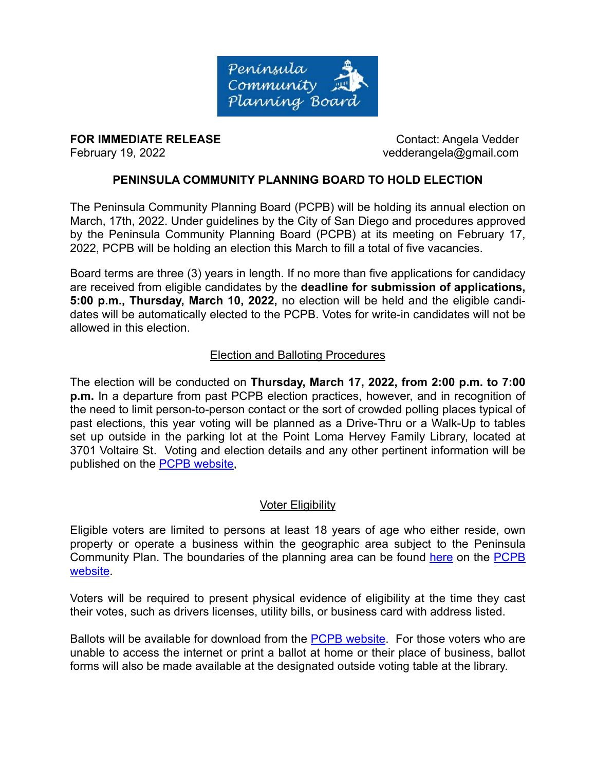

**FOR IMMEDIATE RELEASE CONTACT CONTACT:** Angela Vedder

February 19, 2022 vedderangela@gmail.com

# **PENINSULA COMMUNITY PLANNING BOARD TO HOLD ELECTION**

The Peninsula Community Planning Board (PCPB) will be holding its annual election on March, 17th, 2022. Under guidelines by the City of San Diego and procedures approved by the Peninsula Community Planning Board (PCPB) at its meeting on February 17, 2022, PCPB will be holding an election this March to fill a total of five vacancies.

Board terms are three (3) years in length. If no more than five applications for candidacy are received from eligible candidates by the **deadline for submission of applications, 5:00 p.m., Thursday, March 10, 2022,** no election will be held and the eligible candidates will be automatically elected to the PCPB. Votes for write-in candidates will not be allowed in this election.

#### Election and Balloting Procedures

The election will be conducted on **Thursday, March 17, 2022, from 2:00 p.m. to 7:00 p.m.** In a departure from past PCPB election practices, however, and in recognition of the need to limit person-to-person contact or the sort of crowded polling places typical of past elections, this year voting will be planned as a Drive-Thru or a Walk-Up to tables set up outside in the parking lot at the Point Loma Hervey Family Library, located at 3701 Voltaire St. Voting and election details and any other pertinent information will be published on the [PCPB website](http://www.pcpb.net/),

### Voter Eligibility

Eligible voters are limited to persons at least 18 years of age who either reside, own property or operate a business within the geographic area subject to the Peninsula Community Plan. The boundaries of the planning area can be found [here](http://pcpb.net/boundaries.pdf) on the [PCPB](http://www.pcpb.net/) [website.](http://www.pcpb.net/)

Voters will be required to present physical evidence of eligibility at the time they cast their votes, such as drivers licenses, utility bills, or business card with address listed.

Ballots will be available for download from the [PCPB website](http://www.pcpb.net/). For those voters who are unable to access the internet or print a ballot at home or their place of business, ballot forms will also be made available at the designated outside voting table at the library.